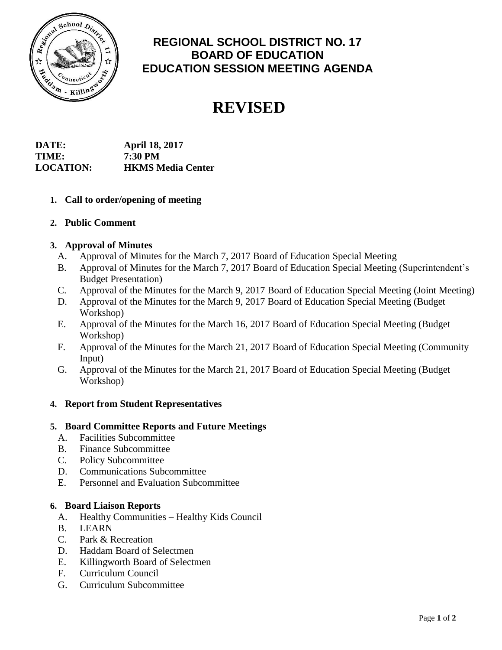

# **REGIONAL SCHOOL DISTRICT NO. 17 BOARD OF EDUCATION EDUCATION SESSION MEETING AGENDA**

# **REVISED**

| DATE:            | <b>April 18, 2017</b>    |
|------------------|--------------------------|
| TIME:            | 7:30 PM                  |
| <b>LOCATION:</b> | <b>HKMS Media Center</b> |

- **1. Call to order/opening of meeting**
- **2. Public Comment**

# **3. Approval of Minutes**

- A. Approval of Minutes for the March 7, 2017 Board of Education Special Meeting
- B. Approval of Minutes for the March 7, 2017 Board of Education Special Meeting (Superintendent's Budget Presentation)
- C. Approval of the Minutes for the March 9, 2017 Board of Education Special Meeting (Joint Meeting)
- D. Approval of the Minutes for the March 9, 2017 Board of Education Special Meeting (Budget Workshop)
- E. Approval of the Minutes for the March 16, 2017 Board of Education Special Meeting (Budget Workshop)
- F. Approval of the Minutes for the March 21, 2017 Board of Education Special Meeting (Community Input)
- G. Approval of the Minutes for the March 21, 2017 Board of Education Special Meeting (Budget Workshop)

# **4. Report from Student Representatives**

#### **5. Board Committee Reports and Future Meetings**

- A. Facilities Subcommittee
- B. Finance Subcommittee
- C. Policy Subcommittee
- D. Communications Subcommittee
- E. Personnel and Evaluation Subcommittee

#### **6. Board Liaison Reports**

- A. Healthy Communities Healthy Kids Council
- B. LEARN
- C. Park & Recreation
- D. Haddam Board of Selectmen
- E. Killingworth Board of Selectmen
- F. Curriculum Council
- G. Curriculum Subcommittee